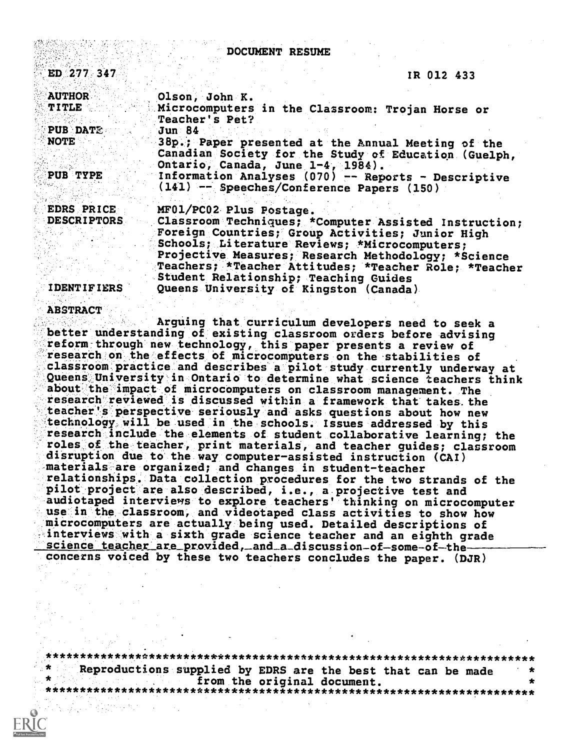| DOCUMENT RESUME                                                                                                                                                                                                                   |                                                                                                                                       |
|-----------------------------------------------------------------------------------------------------------------------------------------------------------------------------------------------------------------------------------|---------------------------------------------------------------------------------------------------------------------------------------|
| ED 277 347                                                                                                                                                                                                                        | IR 012 433                                                                                                                            |
| <b>AUTHOR</b>                                                                                                                                                                                                                     | Olson, John K.                                                                                                                        |
| $\mathbf{T}$ it is the second second second second second second second second second second second second second second second second second second second second second second second second second second second second second | Microcomputers in the Classroom: Trojan Horse or<br>Teacher's Pet?                                                                    |
| <b>PUB DATE</b><br><b>NOTE</b>                                                                                                                                                                                                    | <b>Jun 84</b>                                                                                                                         |
|                                                                                                                                                                                                                                   | 38p.; Paper presented at the Annual Meeting of the<br>Canadian Society for the Study of Education (Guelph,                            |
| PUB TYPE                                                                                                                                                                                                                          | Ontario, Canada, June 1-4, 1984).<br>Information Analyses (070) -- Reports - Descriptive<br>(141) -- Speeches/Conference Papers (150) |
| <b>EDRS PRICE</b>                                                                                                                                                                                                                 | MF01/PC02 Plus Postage.                                                                                                               |
| <b>DESCRIPTORS</b>                                                                                                                                                                                                                | Classroom Techniques; *Computer Assisted Instruction;<br>Foreign Countries; Group Activities; Junior High                             |
|                                                                                                                                                                                                                                   | Schools; Literature Reviews; *Microcomputers;<br>Projective Measures; Research Methodology; *Science                                  |
|                                                                                                                                                                                                                                   | Teachers; *Teacher Attitudes; *Teacher Role; *Teacher<br>Student Relationship; Teaching Guides                                        |
| <b>IDENTIFIERS</b>                                                                                                                                                                                                                | Queens University of Kingston (Canada)                                                                                                |

#### ABSTRACT '

Arguing that curriculum developers need to seek a better understanding of existing classroom orders before advising reform through new technology, this paper presents a review of research on the effects of microcomputers on the stabilities of classroom practice and describes a pilot study currently underway at Queens University in Ontario to determine what science teachers think about the impact of microcomputers on classroom management. The research reviewed is discussed within a framework that takes the teacher's perspective seriously and asks questions about how new technology will be used in the schools. Issues addressed by this research include the elements of student collaborative learning; the roles of the teacher, print materials, and teacher guides; classroom disruption due to the way computer-assisted instruction (CAI) materials are organized; and changes in student-teacher relationships. Data collection procedures for the two strands of the pilot project are also described, i.e., a projective test and audiotaped interviews to explore teachers' thinking on microcomputer use in the classroom, and videotaped class activities to show how microcomputers are actually being used. Detailed descriptions of interviews with a sixth grade science teacher and an eighth grade science teacher are provided, and a discussion-of-some-of-theconcerns voiced by these two teachers concludes the paper. (DJR)

\*\*\*\*\*\*\*\*\*\*\*\*\*\*\*\*\*\*\*\*\*\*\*\*\*\*\*\*\*\*\*\*\*\*\*\*\*\*\*\*\*\*\*\*\*\*\*\*\*\*\*\*\*\*\*\*\*\*\*\*\*\*\*\*\*\*\*\*\*\*\* Reproductions supplied by EDRS are the best that can be made<br>from the original document. from the original document. \*\*\*\*\*\*\*\*\*\*\*\*\*\*\*\*\*\*\*\*\*\*\*\*\*\*\*\*\*\*\*\*\*\*\*\*\*\*\*\*\*\*\*\*\*\*\*\*\*\*\*\*\*\*\*\*\*\*\*\*\*\*\*\*\*\*\*\*\*\*\*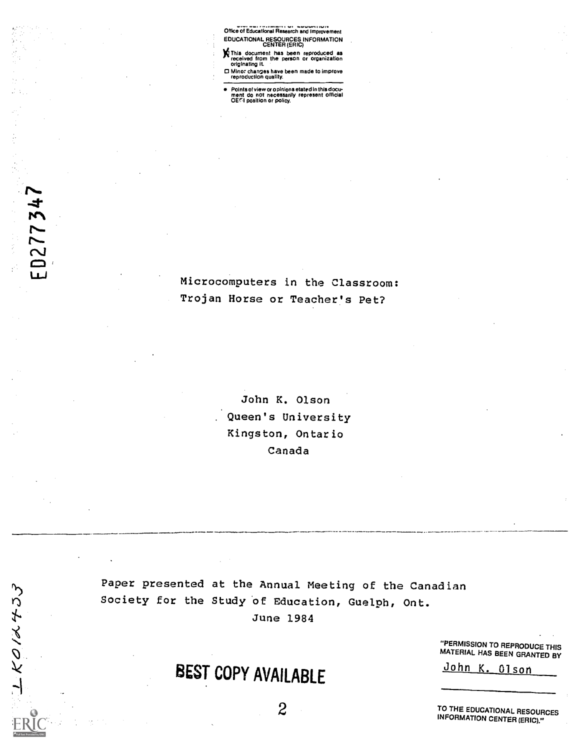Office of Educational Research and Improvement EDUCATIONAL RESOURCES INFORMATION CENTER (ERIC)

**N** This document has been reproduced as<br>originating it.<br>
○ Mino: changes have been or organization<br>
○ Mino: changes have been made to improve<br>reproduction quality.

Points of view or opinions stated in this docu-ment do not necessarily represent official 0ErI position or policy.

Microcomputers in the Classroom: Trojan Horse or Teacher's Pet?

> John K. Olson Queen's University Kingston, Ontario Canada

Paper presented at the Annual Meeting of the Canadian Society for the Study bf Education, Guelph, Ont. June 1984

 $2 \sqrt{2}$ 

BEST COPY AVAILABLE

"PERMISSION TO REPRODUCE THIS MATERIAL HAS BEEN GRANTED BY

John K. Olson

TO THE EDUCATIONAL RESOURCES INFORMATION CENTER (ERIC)."

 $KO/A+JJ$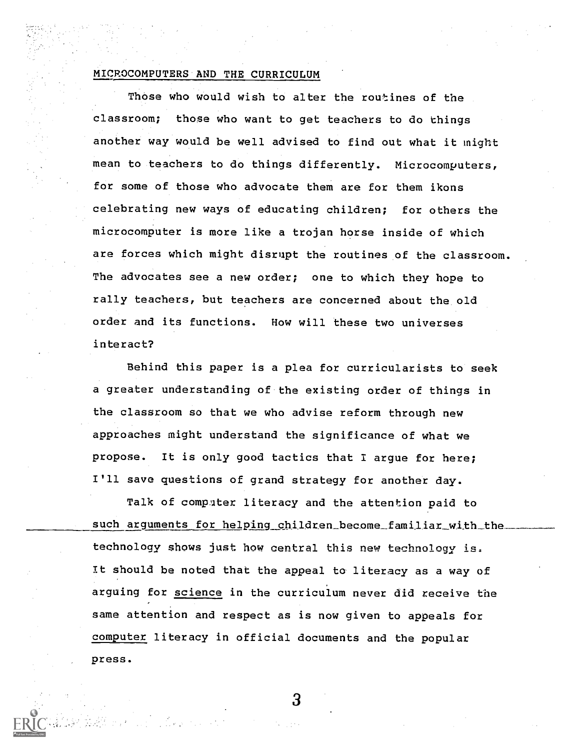#### MICROCOMPUTERS AND THE CURRICULUM

Those who would wish to alter the routines of the classroom; those who want to get teachers to do things another way would be well advised to find out what it might mean to teachers to do things differently. Microcomputers, for some of those who advocate them are for them ikons celebrating new ways of educating children; for others the microcomputer is more like a trojan horse inside of which are forces which might disrupt the routines of the classroom. The advocates see a new order; one to which they hope to rally teachers, but teachers are concerned about the old order and its functions. How will these two universes interact?

Behind this paper is a plea for curricularists to seek a greater understanding of the existing order of things in the classroom so that we who advise reform through new approaches might understand the significance of what we propose. It is only good tactics that I argue for here; I'll save questions of grand strategy for another day.

Talk of computer literacy and the attention paid to such arguments for helping children\_become\_familiar\_with\_the technology shows just how central this new technology is. It should be noted that the appeal to literacy as a way of arguing for science in the curriculum never did receive the same attention and respect as is now given to appeals for computer literacy in official documents and the popular press.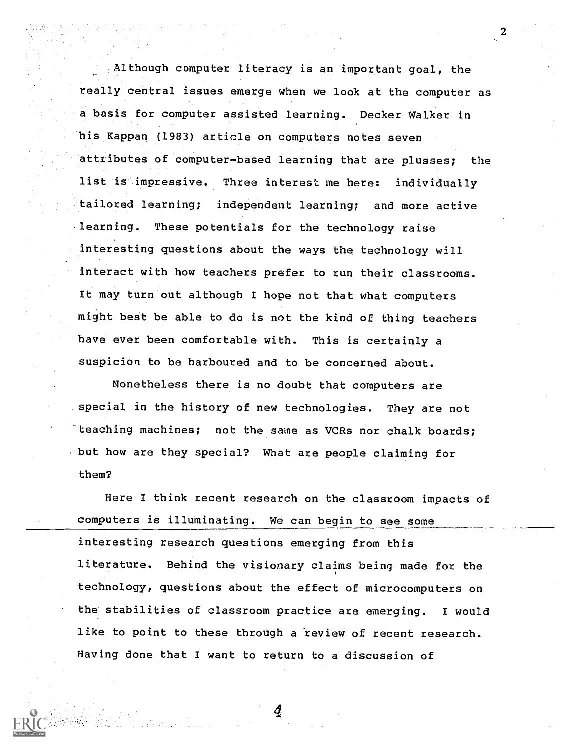Although computer literacy is an important goal, the really central issues emerge when we look at the computer as a basis for computer assisted learning. Decker Walker in his Kappan (1983) article on computers notes seven attributes of computer-based learning that are plusses; the list is impressive. Three interest me here: individually tailored learning; independent learning; and more active learning. These potentials for the technology raise interesting questions about the ways the technology will interact with how teachers prefer to run their classrooms. It may turn out although I hope not that what computers might best be able to do is not the kind of thing teachers have ever been comfortable with. This is certainly a suspicion to be harboured and to be concerned about.

 $\boldsymbol{2}$ 

Nonetheless there is no doubt that computers are special in the history of new technologies. They are not 'teaching machines; not the same as VCRs nor chalk boards; but how are they special? What are people claiming for them?

Here I think recent research on the classroom impacts of computers is Illuminating. We can begin to see some interesting research questions emerging from this literature. Behind the visionary claims being made for the technology, questions about the effect of microcomputers on the stabilities of classroom practice are emerging. I would like to point to these through a review of recent research. Having done that I want to return to a discussion of

Ą.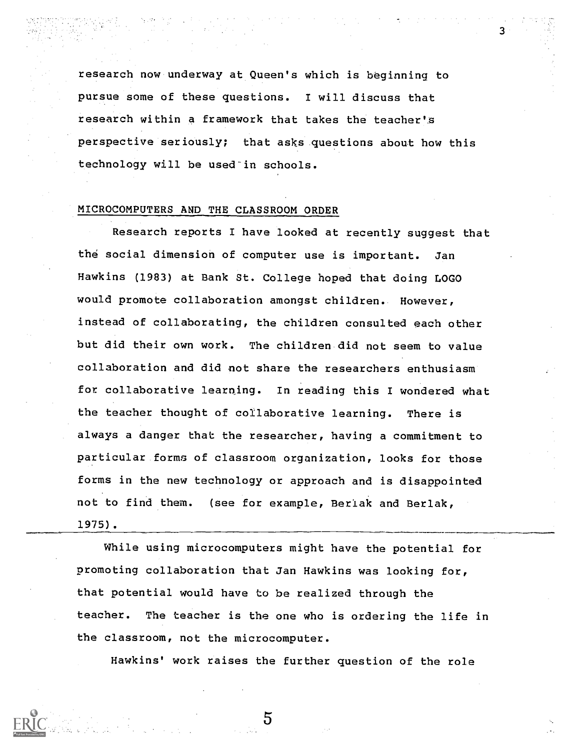research now underway at Queen's which is beginning to pursue some of these questions. I will discuss that research within a framework that takes the teacher's perspective seriously; that asks questions about how this technology will be used in schools.

## MICROCOMPUTERS AND THE CLASSROOM ORDER

Research reports I have looked at recently suggest that the social dimension of computer use is important. Jan Hawkins (1983) at Bank St. College hoped that doing LOGO would promote collaboration amongst children. However, instead of collaborating, the children consulted each other but did their own work. The children did not seem to value collaboration and did not share the researchers enthusiasm for collaborative learning. In reading this I wondered what the teacher thought of collaborative learning. There is always a danger that the researcher, having a commitment to particular forms of classroom organization, looks for those forms in the new technology or approach and is disappointed not to find them. (see for example, Beriak and Berlak, 1975).

While using microcomputers might have the potential for promoting collaboration that Jan Hawkins was looking for, that potential would have to be realized through the teacher. The teacher is the one who is ordering the life in the classroom, not the microcomputer.

Hawkins' work raises the further question of the role

5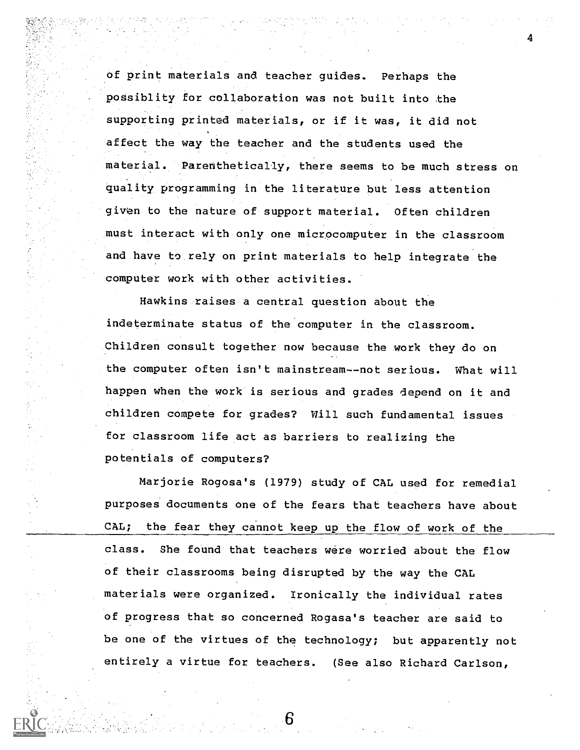of print materials and teacher guides. Perhaps the possiblity for collaboration was not built into the supporting printed materials, or if it was, it did not affect the way the teacher and the students used the material. Parenthetically, there seems to be much stress on quality programming in the literature but less attention given to the nature of support material. Often children must interact with only one microcomputer in the classroom and have to rely on print materials to help integrate the computer work with other activities.

Hawkins raises a central question about the indeterminate status of the computer in the classroom. Children consult together now because the work they do on the computer often isn't mainstream--not serious. What will happen when the work is serious and grades depend on it and children compete for grades? Will such fundamental issues for classroom life act as barriers to realizing the potentials of computers?

Marjorie Rogosa's (1979) study of CAL used for remedial purposes documents one of the fears that teachers have about CAL; the fear they cannot keep up the flow of work of the class. She found that teachers were worried about the flow of their classrooms being disrupted by the way the CAL materials were organized. Ironically the individual rates of progress that so concerned Rogasa's teacher are said to be one of the virtues of the technology; but apparently not entirely a virtue for teachers. (See also Richard Carlson,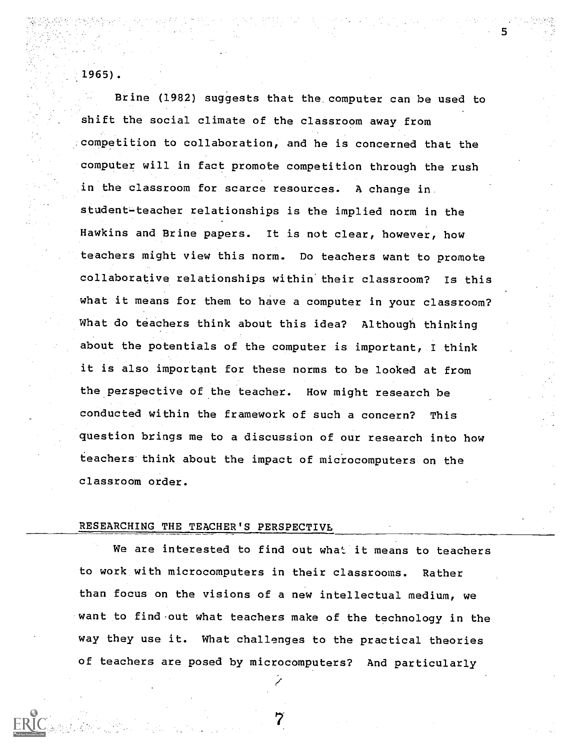1965).

Brine (1982) suggests that the computer can be used to N. shift the social climate of the classroom away from competition to collaboration, and he is concerned that the computer will in fact promote competition through the rush in the classroom for scarce resources. A change in student-teacher relationships is the implied norm in the Hawkins and Brine papers. It is not clear, however, how teachers might view this norm. Do teachers want to promote collaborative relationships within'their classroom? Is this what it means for them to have a computer in your classroom? What do teachers think about this idea? Although thinking about the potentials of the computer is important, I think it is also important for these norms to be looked at from the perspective of the teacher. How might research be conducted within the framework of such a concern? This question brings me to a discussion of our research into how teachers think about the impact of microcomputers on the classroom order.

# RESEARCHING THE TEACHER'S PERSPECTIVE

We are interested to find out what it means to teachers to work with microcomputers in their classrooms. Rather than focus on the visions of a new intellectual medium, we want to find out what teachers make of the technology in the way they use it. What challenges to the practical theories of teachers are posed by microcomputers? And particularly

7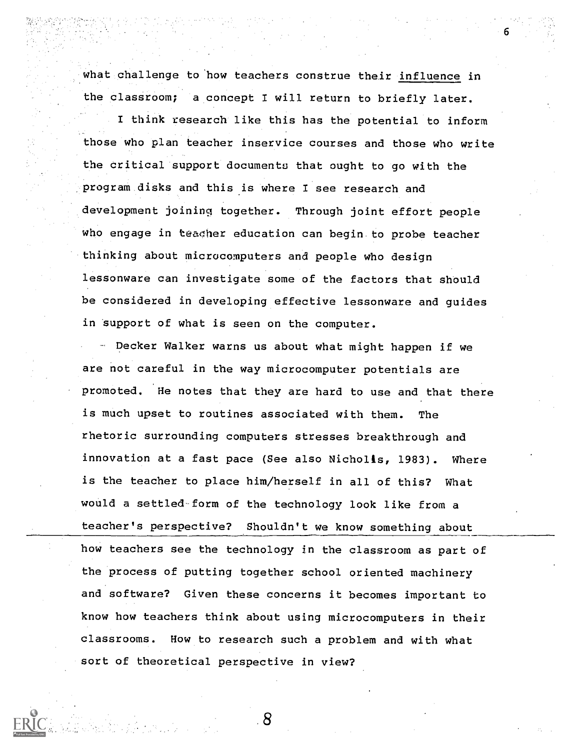what challenge to how teachers construe their influence in the classroom; a concept I will return to briefly later. I think research like this has the potential to inform those who plan teacher inservice courses and those who write the critical support documents that ought to go with the program disks and this is where I see research and development joininq together. Through joint effort people who engage in teacher education can begin to probe teacher thinking about microcomputers and people who design lessonware can investigate some of the factors that should be considered in developing effective lessonware and guides in support of what is seen on the computer.

6

Decker Walker warns us about what might happen if we are not careful in the way microcomputer potentials are promoted. He notes that they are hard to use and that there is much upset to routines associated with them. The rhetoric surrounding computers stresses breakthrough and innovation at a fast pace (See also Nicholls, 1983). Where is the teacher to place him/herself in all of this? What would a settled form of the technology look like from a teacher's perspective? Shouldn't we know something about how teachers see the technology in the classroom as part of the process of putting together school oriented machinery and software? Given these concerns it becomes important to know how teachers think about using microcomputers in their classrooms. How to research such a problem and with what sort of theoretical perspective in view?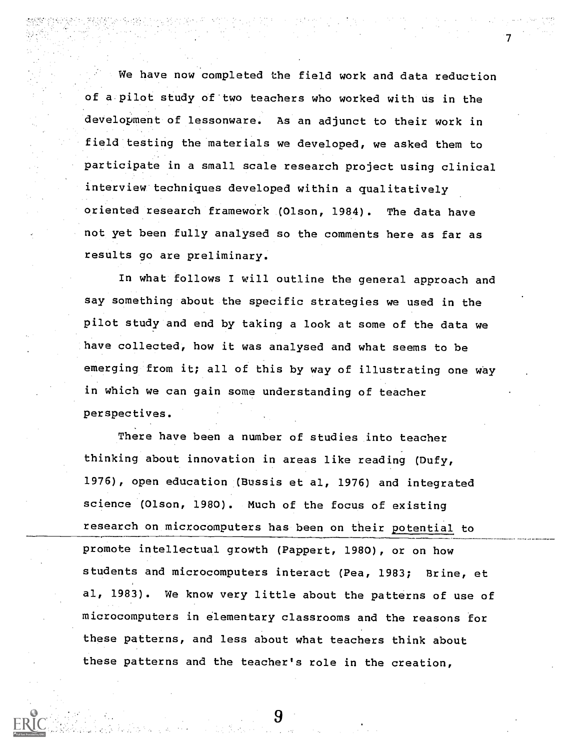We have now completed the field work and data reduction of a pilot study of'two teachers who worked with us in the development of lessonware. As an adjunct to their work in field testing the materials we developed, we asked them to participate in a small scale research project using clinical interview techniques developed within a qualitatively oriented research framework (Olson, 1984). The data have not yet been fully analysed so the comments here as far as results go are preliminary.

In what follows I will outline the general approach and say something about the specific strategies we used in the pilot study and end by taking a look at some of the data we have collected, how it was analysed and what seems to be emerging from it; all of this by way of illustrating one way in which we can gain some understanding of teacher perspectives.

There have been a number of studies into teacher thinking about innovation in areas like reading (Dufy, 1976), open education (Bussis et al, 1976) and integrated science (Olson, 1980). Much of the focus of existing research on microcomputers has been on their potential to promote intellectual growth (Pappert, 1980), or on how students and microcomputers interact (Pea, 1983; Brine, et al, 1983). We know very little about the patterns of use of microcomputers in elementary classrooms and the reasons for these patterns, and less about what teachers think about these patterns and the teacher's role in the creation,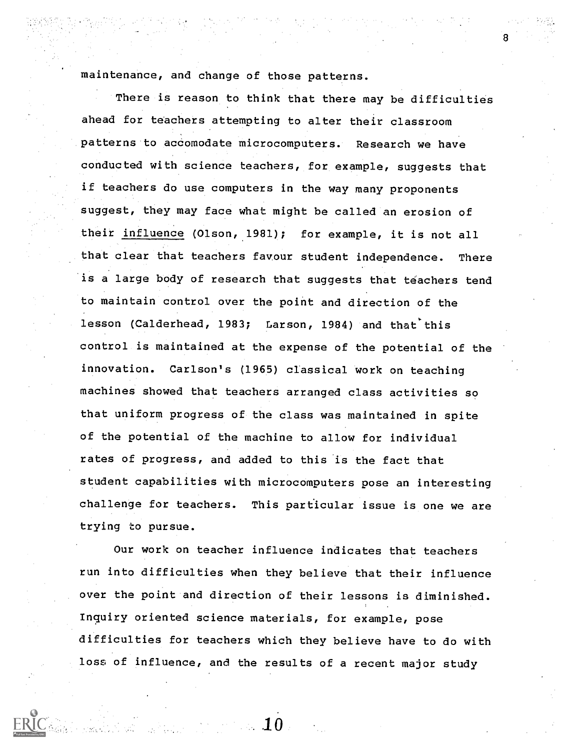maintenance, and change of those patterns.

There is reason to think that there may be difficulties ahead for teachers attempting to alter their classroom patterns to accomodate microcomputers. Research we have conducted with science teachers, for example, suggests that if teachers do use computers in the way many proponents suggest, they may face what might be called an erosion of their influence (Olson, 1981); for example, it is not all that clear that teachers favour student independence. There is a large body of research that suggests that teachers tend to maintain control over the point and direction of the lesson (Calderhead, 1983; Larson, 1984) and that this control is maintained at the expense of the potential of the innovation. Carlson's (1965) classical work on teaching machines showed that teachers arranged class activities so that uniform progress of the class was maintained in spite of the potential of the machine to allow for individual rates of progress, and added to this is the fact that student capabilities with microcomputers pose an interesting challenge for teachers. This particular issue is one we are trying to pursue.

Our work on teacher influence indicates that teachers run into difficulties when they believe that their influence over the point and direction of their lessons is diminished. Inquiry oriented science materials, for example, pose difficulties for teachers which they believe have to do with loss of influence, and the results of a recent major study

 $\sim 10$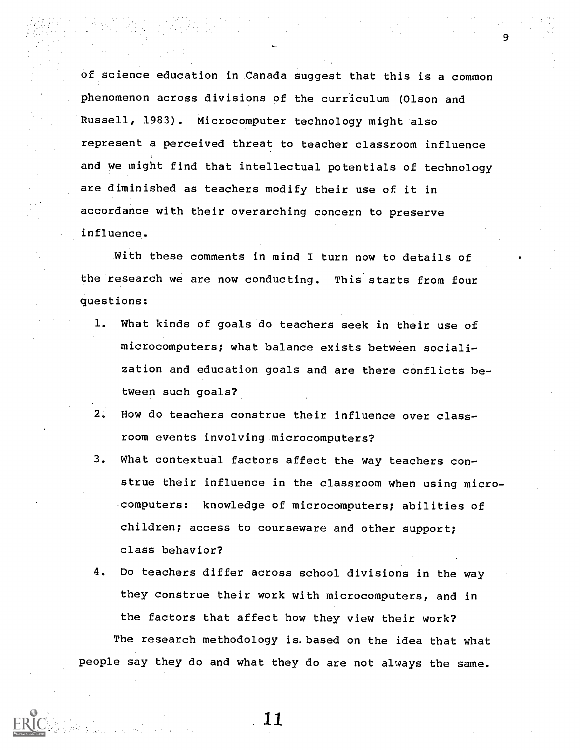of science education in Canada suggest that this is a common phenomenon across divisions of the curriculum (Olson and Russell, 1983). Microcomputer technology might also represent a perceived threat to teacher classroom influence and we might find that intellectual potentials of technology are diminished as teachers modify their use of it in accordance with their overarching concern to preserve influence.

9

With these comments in mind I turn now to details of the research we are now conducting. This starts from four questions:

- 1. What kinds of goals do teachers seek in their use of microcomputers; what balance exists between socialization and education goals and are there conflicts between such goals?
- 2. How do teachers construe their influence over classroom events involving microcomputers?
- 3. What contextual factors affect the way teachers construe their influence in the classroom when using microcomputers: knowledge of microcomputers; abilities of children; access to courseware and other support; class behavior?
- 4. Do teachers differ across school divisions in the way they construe their work with microcomputers, and in the factors that affect how they view their work? The research methodology is.based on the idea that what people say they do and what they do are not always the same.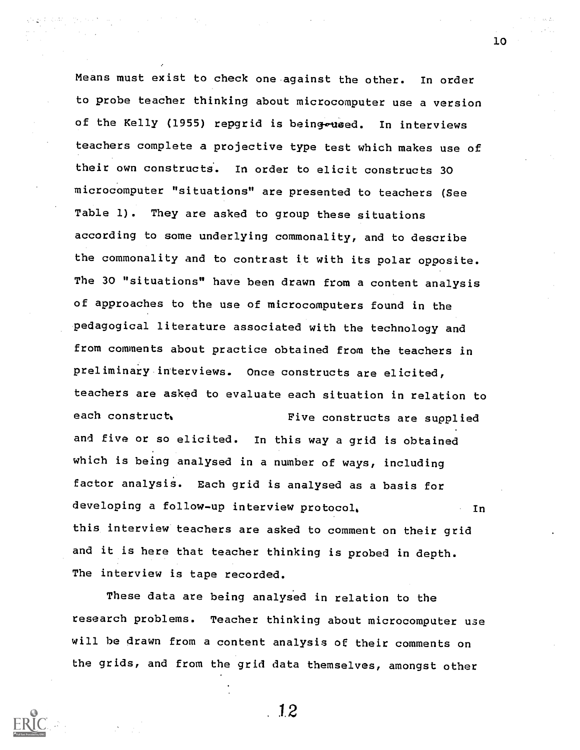Means must exist to check one against the other. In order to probe teacher thinking about microcomputer use a version of the Kelly (1955) repgrid is being waed. In interviews teachers complete a projective type test which makes use of their own constructs. In order to elicit constructs 30 microcomputer "situations" are presented to teachers (See Table 1). They are asked to group these situations according to some underlying commonality, and to describe the commonality and to contrast it with its polar opposite. The 30 "situations" have been drawn from a content analysis of approaches to the use of microcomputers found in the pedagogical literature associated with the technology and from comments about practice obtained from the teachers in preliminary interviews. Once constructs are elicited, teachers are asked to evaluate each situation in relation to each construct. Tive constructs are supplied and five or so elicited. In this way a grid is obtained which is being analysed in a number of ways, including factor analysis. Each grid is analysed as a basis for developing a follow-up interview protocol, In this interview teachers are asked to comment on their grid and it is here that teacher thinking is probed in depth. The interview is tape recorded.

These data are being analysed in relation to the research problems. Teacher thinking about microcomputer use will be drawn from a content analysis of their comments on the grids, and from the grid data themselves, amongst other



12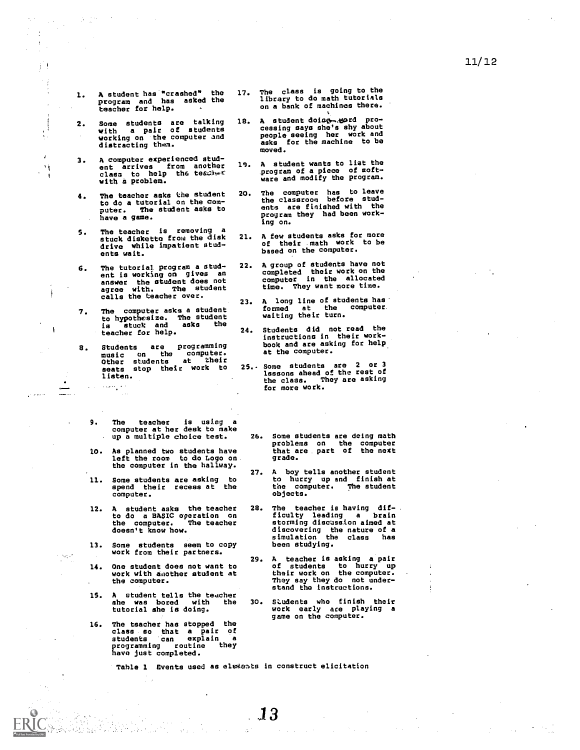1. A student has "crashed" the 17. T<br>program and has asked the 1<br>teacher for help.

 $j$  !

 $\bar{z}$ 

 $\mathbf{I}$ 

 $\cdot$ A)

j

.<br>. . . . . . . . . .

 $\left[\begin{smallmatrix} 0 & 0 \\ 0 & 0 \end{smallmatrix}\right]$ 

- 2. Some students are talking 18. A<br>with a pair of students computer<br>working on the computer and p<br>distracting them.
- 3. A computer experienced student arrives from another 19. A<br>class to help the teases of P<br>with a problem.
- 4. The teacher asks the student 20. T<br>to do a tutorial on the computer. The student asks to have a game.
- 5. The teacher is removing a<br>stuck diskette from the disk 21. A drive while impatient students wait.
- 6. The tutorial program a stud-ent is working on gives an answer the student does not<br>agree with. The student t<br>calls the teacher over. . . . . . . .
- 7. The computer asks a student to hypothesize. The student the state of the state of the state of the state of the state of the state of the<br>is stuck and asks the state of the state of the state of the state of the state of the state of the state of t teacher for help.
- 8. Students are programming<br>
music on the computer.<br>
Other students at their<br>
seats stop their work to 25. S<br>
listen.

 $\sim 10^{10}$  M  $_\odot$  M  $_\odot$ 

- 9. The teacher is using <sup>a</sup> computer at her desk to make up a multiple choice test.
- 10. As planned two students have left the room Lo do Logo on the computer in the hallway.<br>27.
- 11. Some students are asking spend their recess at the computer.
- 12. A student asks the teacher 28. to do a BASIC operation on the computer. The teacher doesn't know how.
- 13. Some students seem to copy work from their partners.
- 14. One student does not want to work with aaother student at the computer.
- 15. A student tells the teacher<br>she was bored with the 30. she was bored with the tutorial she is doing.
- 16. The teacher has stopped the class so that a pair of students can explain <sup>a</sup> programming routine they have just completed.

W

- 17. The class is going to the library to do math tutorials on a bank of machines there.
- 18. A student doing gord pro-<br>cessing says she's shy about people seeing her work and asks for the machine to be moved.
- 19. A student wants to list the program of a piece of soft-ware and modify the program.
- 20. The computer has to leave the classroom before stud ents are finished with the program they had been working on.
- 21. A few students asks for more of their math work to be based on the computer.
- 22. A group of students have not completed their work on the computer in the allocated time. They want more time.
- 23. A long line of students has formed at the computer waiting their turn.
- Students did not read the instructions in their work-book and are asking for help at the computer.
- 25.. Some students are <sup>2</sup> or 3 lessons ahead of the rest of the class. They are asking for more work.
	- Some students are doing math problems on the computer that are part of the next grade.
	- 27. A boy tells another student to hurry up and finish at the computer. The student objects.
	- The teacher is having dif-<br>ficulty leading a brain ficulty leading a brain storming discussion aimed at discovering the nature of a simulation the class has been studying.
	- 29. A teacher is asking a pair of students to hurry up their work on the computer. They say they do not under-stand the instructions.
	- 30. Students who finish their work early ace playing a<br>game on the computer.

Table 1 Events used as elesents in construct elicitation

 $\mathbf{J3}$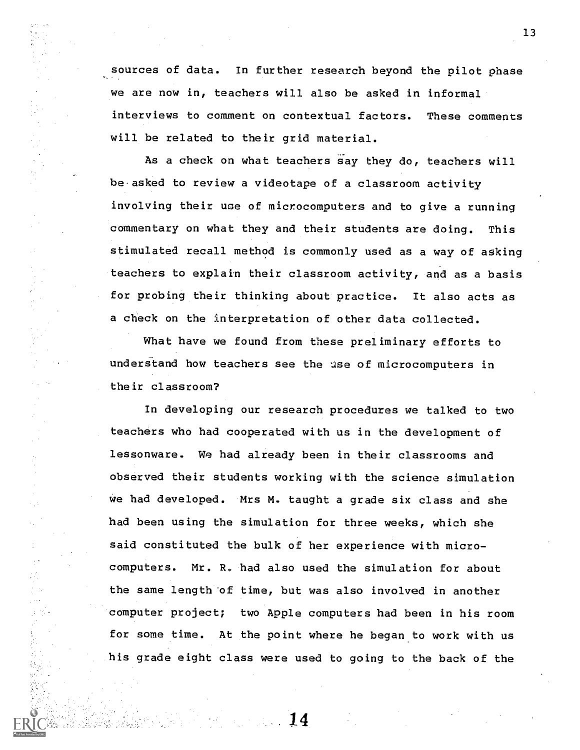sources of data. In further research beyond the pilot phase we are now in, teachers will also be asked in informal interviews to comment on contextual factors. These comments will be related to their grid material.

As a check on what teachers say they do, teachers will be.asked to review a videotape of a classroom activity involving their use of microcomputers and to give a running commentary on what they and their students are doing. This stimulated recall method is commonly used as a way of asking teachers to explain their classroom activity, and as a basis for probing their thinking about practice. It also acts as a check on the interpretation of other data collected.

What have we found from these preliminary efforts to understand how teachers see the use of microcomputers in their classroom?

In developing our research procedures we talked to two teachers who had cooperated with us in the development of lessonware. We had already been in their classrooms and observed their students working with the science simulation we had developed. Mrs M. taught a grade six class and she had been using the simulation for three weeks, which she said constituted the bulk of her experience with microcomputers. Mr. R. had also used the simulation for about the same length'of time, but was also involved in another computer project; two Apple computers had been in his room for some time. At the point where he began to work with us his grade eight class were used to going to the back of the

14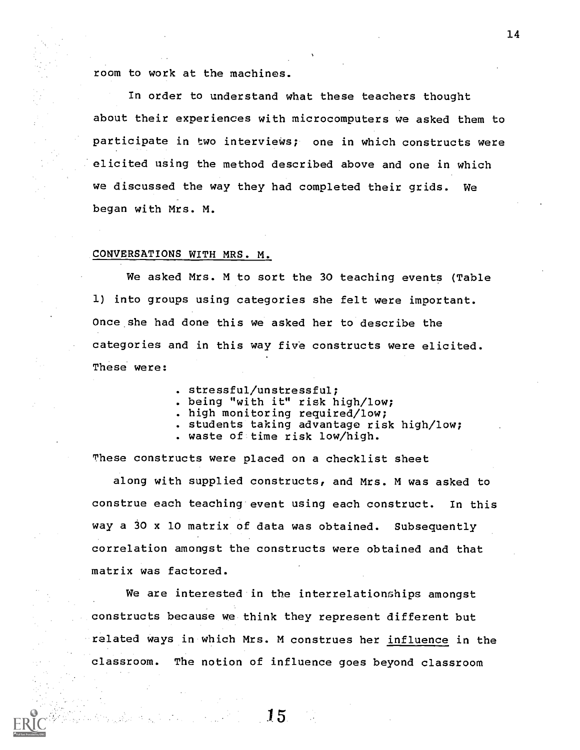room to work at the machines.

In order to understand what these teachers thought about their experiences with microcomputers we asked them to participate in two interviews; one in which constructs were elicited using the method described above and one in which we discussed the way they had completed their grids. We began with Mrs. M.

#### CONVERSATIONS WITH MRS. M.

We asked Mrs. M to sort the 30 teaching events (Table 1) into groups using categories she felt were important. Once she had done this we asked her to describe the categories and in this way five constructs were elicited. These were:

- . stressful/unstressful;
- . being "with it" risk high/low;
- . high monitoring required/low;
- . students taking advantage risk high/low;
- . waste of time risk low/high.

These constructs were placed on a checklist sheet

along with supplied constructs, and Mrs. M was asked to construe each teaching event using each construct. In this way a 30 x 10 matrix of data was obtained. Subsequently correlation amongst the constructs were obtained and that matrix was factored.

We are interested in the interrelationships amongst constructs because we think they represent different but related ways in which Mrs. M construes her influence in the classroom. The notion of influence goes beyond classroom

15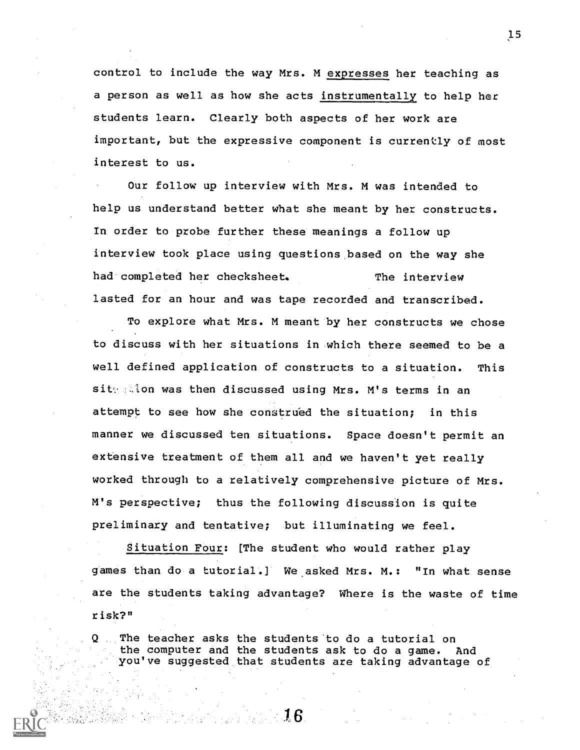control to include the way Mrs. M expresses her teaching as a person as well as how she acts instrumentally to help her students learn. Clearly both aspects of her work are important, but the expressive component is currently of most interest to us.

Our follow up interview with Mrs. M was intended to help us understand better what she meant by her constructs. In order to probe further these meanings a follow up interview took place using questions based on the way she had completed her checksheet. The interview lasted for an hour and was tape recorded and transcribed.

To explore what Mrs. M meant by her constructs we chose to discuss with her situations in which there seemed to be a well defined application of constructs to a situation. This sity alon was then discussed using Mrs. M's terms in an attempt to see how she construed the situation; in this manner we discussed ten situations. Space doesn't permit an extensive treatment of them all and we haven't yet really worked through to a relatively comprehensive picture of Mrs. M's perspective; thus the following discussion is quite preliminary and tentative; but illuminating we feel.

Situation Four: [The student who would rather play games than do a tutorial.] We.asked Mrs. M.: "In what sense are the students taking advantage? Where is the waste of time risk?"

Q The teacher asks the students to do a tutorial on the computer and the students ask to do a game. And you've suggested that students are taking advantage of

- 16.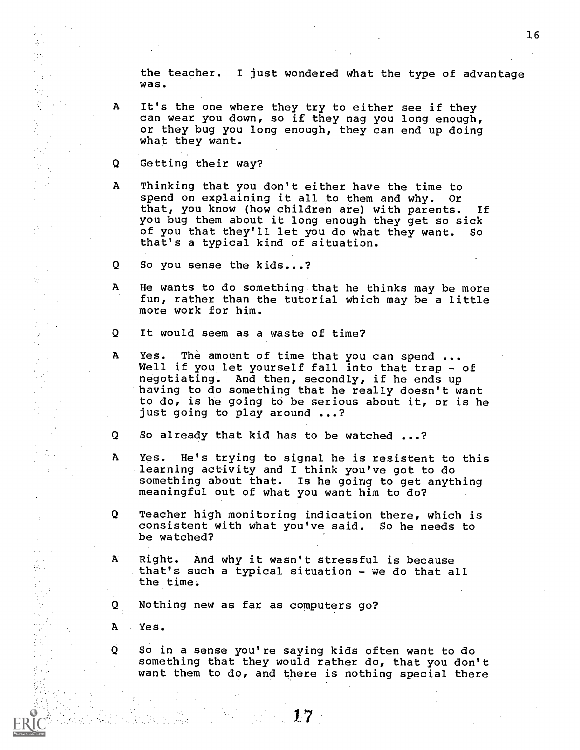the teacher. I just wondered what the type of advantage was.

- A It's the one where they try to either see if they can wear you down, so if they nag you long enough, or they bug you long enough, they can end up doing what they want.
- Q Getting their way?

 $\begin{bmatrix} 1 & 1 \\ 1 & 1 \\ 1 & 1 \end{bmatrix}$ 

D. Ch  $\sim$  .

W.

意志的

 $\epsilon$  :  $\hat{\mathcal{C}}_{\text{in}}$ 

- A Thinking that you don't either have the time to spend on explaining it all to them and why. Or that, you know (how children are) with parents. If you bug them about it long enough they get so sick of you that they'll let you do what they want. So that's a typical kind of situation.
- $\Omega$ So you sense the kids...?
- Ά He wants to do something that he thinks may be more fun, rather than the tutorial which may be a little more work for him.
- Q. It would seem as a waste of time?
- A Yes. The amount of time that you can spend ... Well if you let yourself fall into that trap - of negotiating. And then, secondly, if he ends up having to do something that he really doesn't want to do, is he going to be serious about it, or is he just going to play around ...?
- Q So already that kid has to be watched ...?
- $\mathbf{A}$ Yes. He's trying to signal he is resistent to this learning activity and I think you've got to do something about that. Is he going to get anything meaningful out of what you want him to do?
- Q Teacher high monitoring indication there, which is consistent with what you've said. So he needs to be watched?
- A Right. And why it wasn't stressful is because that's such a typical situation - we do that all the time.
- $\boldsymbol{\Omega}$ Nothing new as far as computers go?
- ${\bf A}$ Yes.

Andre Albert

Q So in a sense you're saying kids often want to do something that they would rather do, that you don't want them to do, and there is nothing special there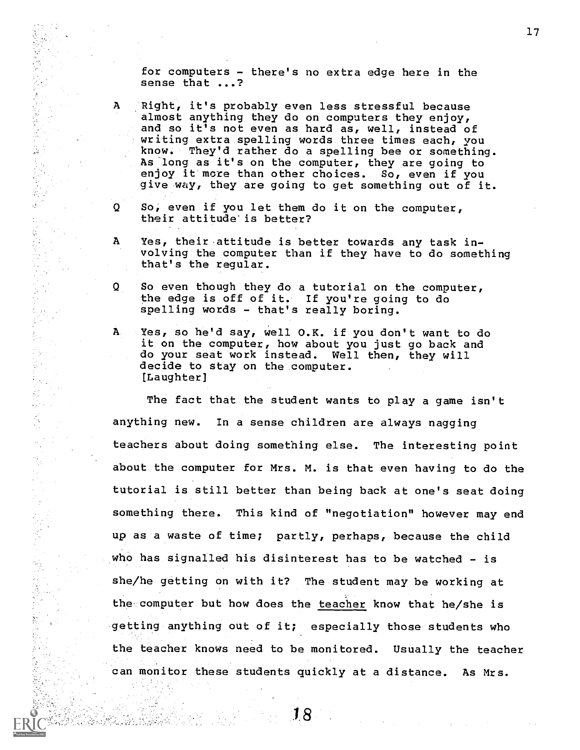for computers - there's no extra edge here in the sense that ...?

の数を完全の数となるときます。 かんしょう かんかんかん しょうしょう しゅうしょう

Agosto<br>Pagasing ψĵ

 $\mathbb{F}_q$ Ę, 

 $\frac{1}{2} \sum_{i=1}^{n} \frac{1}{2}$  $\mathbb{R}^2$ 

> ło, ∫y.

المتألوة 

 $\frac{d\phi}{d\phi}$  $\frac{1}{2}$ 

Ń,

¥I

- A Right, it's probably even less stressful because almost anything they do on computers they enjoy, and so it's not even as hard as, well, instead of writing extra spelling words three times each, you know. They'd rather do a spelling bee or something. As long as it's on the computer, they are going to enjoy it more than other choices. So, even if you give way, they are going to get something out of it.
- So, even if you let them do it on the computer, Q their attitude'is better?
- Yes, their attitude is better towards any task in-A volving the computer than if they have to do something that's the regular.
- Q So even though they do a tutorial on the computer, the edge is off of it. If you're going to do spelling words - that's really boring.
- A. Yes, so he'd say, well O.K. if you don't want to do it on the computer, how about you just go back and do your seat work instead. Well then, they will decide to stay on the computer. [Laughter]

The fact that the student wants to play a game isn't anything new. In a sense children are always nagging teachers about doing something else. The interesting point about the computer for Mrs. M. is that even having to do the tutorial is still better than being back at one's seat doing something there. This kind of "negotiation" however may end up as a waste of time; partly, perhaps, because the child who has signalled his disinterest has to be watched - is she/he getting on with it? The student may be working at the computer but how does the teacher know that he/she is getting anything out of it; especially those students who the teacher knows need to be monitored. Usually the teacher can monitor these students quickly at a distance. As Mrs.

18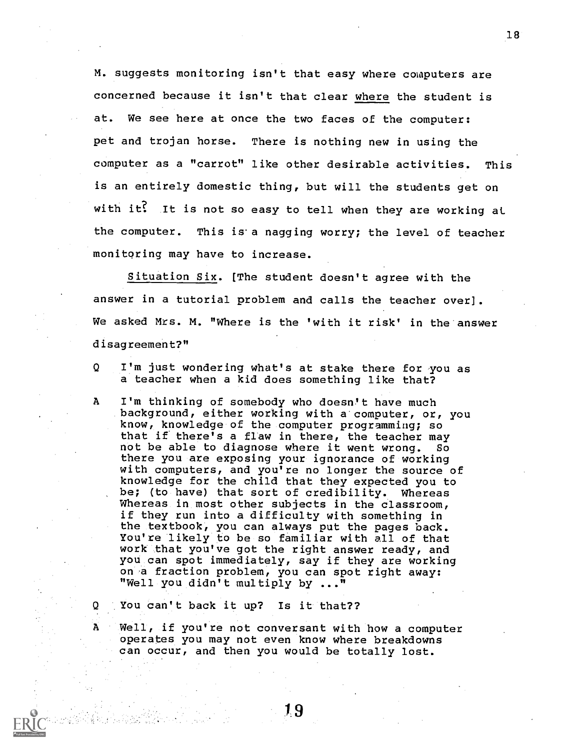M. suggests monitoring isn't that easy where computers are concerned because it isn't that clear where the student is at. We see here at once the two faces of the computer: pet and trojan horse. There is nothing new in using the computer as a "carrot" like other desirable activities. This is an entirely domestic thing, but will the students get on with it? It is not so easy to tell when they are working at the computer. This is'a nagging worry; the level of teacher monitoring may have to increase.

Situation Six. [The student doesn't agree with the answer in a tutorial problem and calls the teacher over]. We asked Mrs. M. "Where is the 'with it risk' in the answer disagreement?"

 $\overline{O}$ I'm just wondering what's at stake there for you as a teacher when a kid does something like that?

A I'm thinking of somebody who doesn't have much background, either working with a computer, or, you know, knowledge of the computer programming; so that if there's a flaw in there, the teacher may not be able to diagnose where it went wrong. So there you are exposing your ignorance of working with computers, and you're no longer the source of knowledge for the child that they expected you to be; (to have) that sort of credibility. Whereas Whereas in most other subjects in the classroom, if they run into a difficulty with something in the textbook, you can always put the pages back. You're likely to be so familiar with all of that work that you've got the right answer ready, and you can spot immediately, say if they are working on a fraction problem, you can spot right away: "Well you didn't multiply by ..."

You can't back it up? Is it that??

 $\mathbf{Q}$ 

A

Well, if you're not conversant with how a computer operates you may not even know where breakdowns can occur, and then you would be totally lost.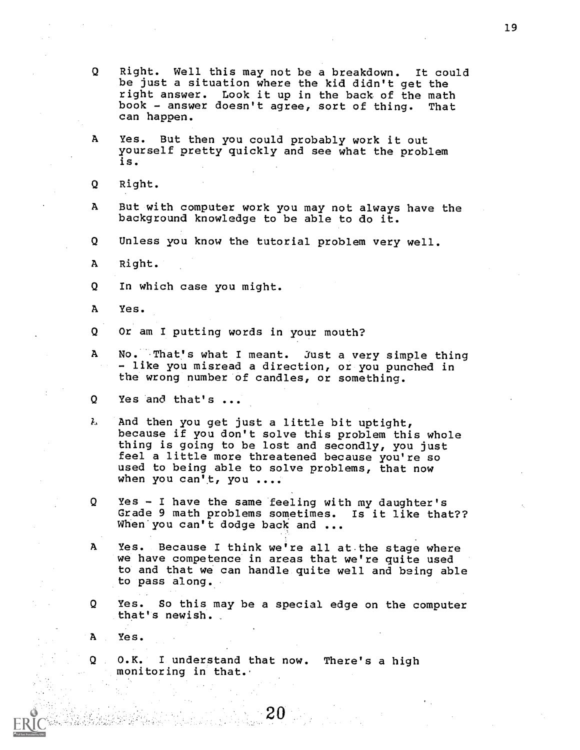- Q Right. Well this may not be a breakdown. It could be just a situation where the kid didn't get the right answer. Look it up in the back of the math book - answer doesn't agree, sort of thing. That can happen.
- A Yes. But then you could probably work it out yourself pretty quickly and see what the problem is.
- Q Right.
- A But with computer work you may not always have the background knowledge to be able to do it.
- Q Unless you know the tutorial problem very well.
- A Right.
- Q In which case you might.
- A Yes.

Q Or am I putting words in your mouth?

- A No. That's what I meant. Just a very simple thing - like you misread a direction, or you punched in the wrong number of candles, or something.
- Q Yes and that's ...
- $\lambda$ And then you get just a little bit uptight, because if you don't solve this problem this whole thing is going to be lost and secondly, you just feel a little more threatened because you're so used to being able to solve problems, that now when you can't, you ....
- Q Yes I have the same feeling with my daughter's Grade 9 math problems sometimes. Is it like that?? When you can't dodge back and ...
- A Yes. Because I think we're all at.the stage where we have competence in areas that we're quite used to and that we can handle quite well and being able to pass along.
- Q Yes. So this may be a special edge on the computer that's newish.

 $20^{\circ}$ 

Yes.

O.K. I understand that now. There's a high  $Q_{\text{max}}$ monitoring in that.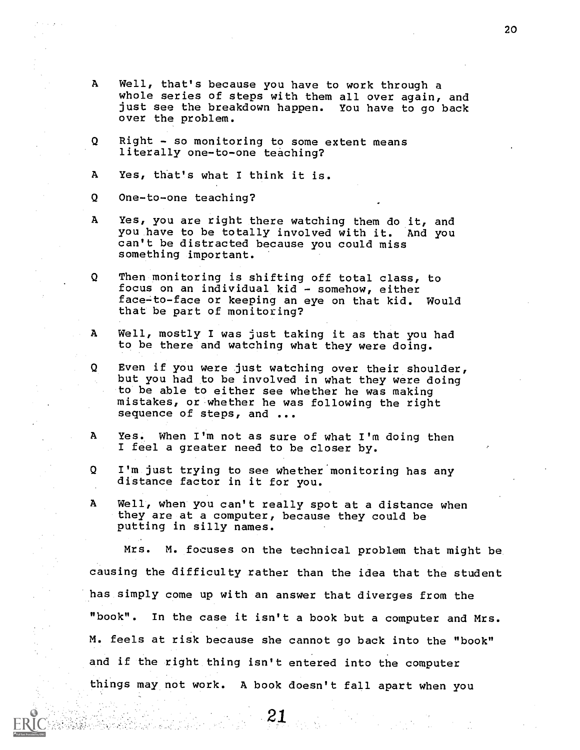- A Well, that's because you have to work through a whole series of steps with them all over again, and just see the breakdown happen. You have to go back over the problem.
- Right so monitoring to some extent means Q. literally one-to-one teaching?
- A Yes, that's what I think it is.
- Q One-to-one teaching?
- A Yes, you are right there watching them do it, and you have to be totally involved with it. And you can't be distracted because you could miss something important.
- Q Then monitoring is shifting off total class, to focus on an individual kid - somehow, either face-to-face or keeping an eye on that kid. Would that be part of monitoring?
- $\mathbf{A}$ Well, mostly I was just taking it as that you had to be there and watching what they were doing.
- Q. Even if you were just watching over their shoulder, but you had to be involved in what they were doing to be able to either see whether he was making mistakes, or whether he was following the right sequence of steps, and ...
- A Yes. When I'm not as sure of what I'm doing then I feel a greater need to be closer by.
- Q I'm just trying to see whether monitoring has any distance factor in it for you.
- A Well, when you can't really spot at a distance when they are at a computer, because they could be putting in silly names.

Mrs. M. focuses on the technical problem that might be causing the difficulty rather than the idea that the student has simply come up with an answer that diverges from the "book". In the case it isn't a book but a computer and Mrs. M. feels at risk because she cannot go back into the "book" and if the right thing isn't entered into the computer things may not work. A book doesn't fall apart when you

21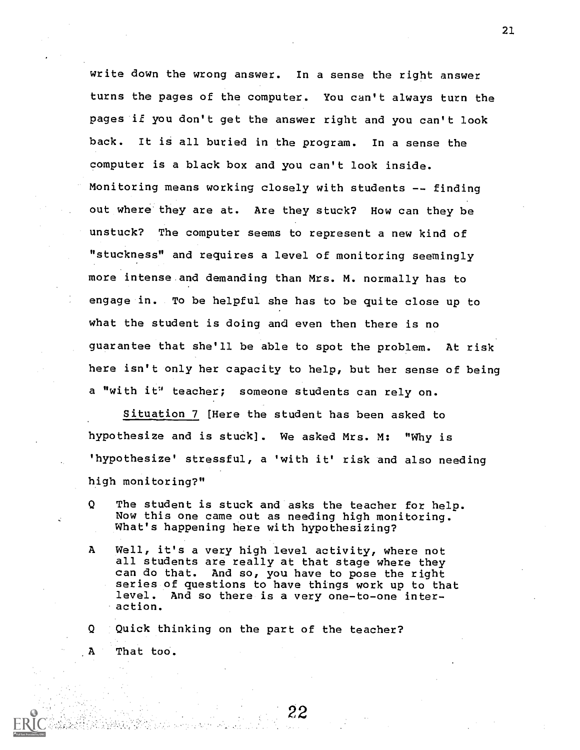write down the wrong answer. In a sense the right answer turns the pages of the computer. You can't always turn the pages if you don't get the answer right and you can't look back. It is all buried in the program. In a sense the computer is a black box and you can't look inside. Monitoring means working closely with students -- finding out where they are at. Are they stuck? How can they be unstuck? The computer seems to represent a new kind of "stuckness" and requires a level of monitoring seemingly more intense and demanding than Mrs. M. normally has to engage in. To be helpful she has to be quite close up to what the student is doing and even then there is no guarantee that she'll be able to spot the problem. At risk here isn't only her capacity to help, but her sense of being a "with it" teacher; someone students can rely on.

Situation 7 [Here the student has been asked to hypothesize and is stuck]. We asked Mrs. M: "Why is 'hypothesize' stressful, a 'with it' risk and also needing high monitoring?"

- Q The student is stuck and asks the teacher for help. Now this one came out as needing high monitoring. What's happening here with hypothesizing?
- A Well, it's a very high level activity, where not all students are really at that stage where they can do that. And so, you have to pose the right series of questions to have things work up to that level. And so there is a very one-to-one interaction.

22

Q Quick thinking on the part of the teacher? A That too.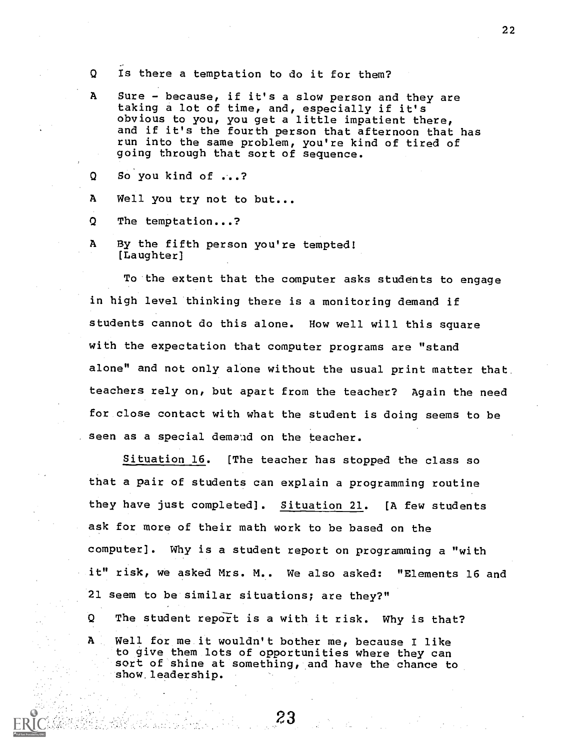- Q Is there a temptation to do it for them?
- A Sure because, if it's a slow person and they are taking a lot of time, and, especially if it's obvious to you, you get a little impatient there, and if it's the fourth person that afternoon that has run into the same problem, you're kind of tired of going through that sort of sequence.
- Q So you kind of ...?
- A Well you try not to but...
- Q The temptation...?
- A By the fifth person you're tempted! [Laughter]

To the extent that the computer asks students to engage in high level thinking there is a monitoring demand if students cannot do this alone. How well will this square with the expectation that computer programs are "stand alone" and not only alone without the usual print matter that teachers rely on, but apart from the teacher? Again the need for close contact with what the student is doing seems to be seen as a special demand on the teacher.

Situation 16. [The teacher has stopped the class so that a pair of students can explain a programming routine they have just completed]. Situation 21. [A few students ask for more of their math work to be based on the computer]. Why is a student report on programming a "with it" risk, we asked Mrs. M.. We also asked: "Elements 16 and 21 seem to be similar situations; are they?" Q The student report is a with it risk. Why is that? A Well for me it wouldn't bother me, because I like to give them lots of opportunities where they can sort of shine at something, and have the chance to show, leadership.

23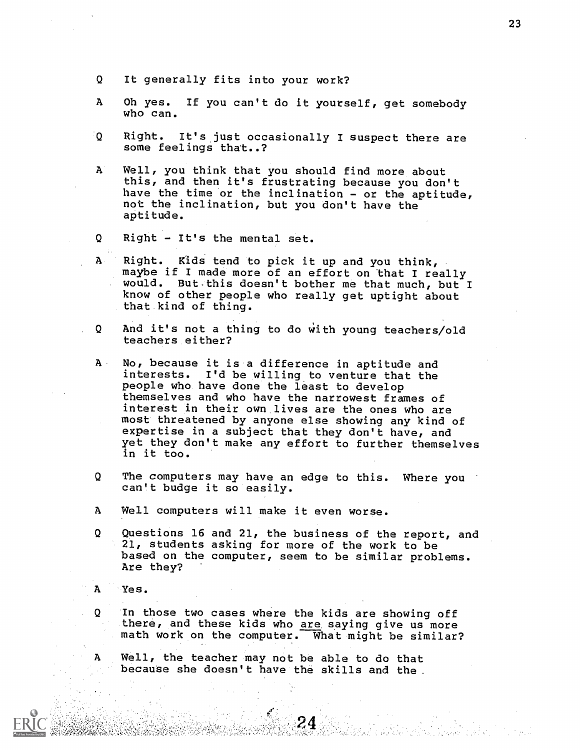- Q It generally fits into your work?
- A Oh yes. If you can't do it yourself, get somebody who can.
- $\Omega$ Right. It's just occasionally I suspect there are some feelings that..?
- ${\bf A}$ Well, you think that you should find more about this, and then it's frustrating because you don't have the time or the inclination - or the aptitude, not the inclination, but you don't have the aptitude.
- Q Right It's the mental set.
- $\mathbf{A}$ Right. Kids tend to pick it up and you think, maybe if I made more of an effort on that I really would. But-this doesn't bother me that much, but I know of other people who really get uptight about that kind of thing.
- And it's not a thing to do With young teachers/old Q teachers either?
- A No, because it is a difference in aptitude and interests. I'd be willing to venture that the people who have done the least to develop themselves and who have the narrowest frames of interest in their own lives are the ones who are most threatened by anyone else showing any kind of expertise in a subject that they don't have, and yet they don't make any effort to further themselves in it too.
- Q The computers may have an edge to this. Where you can't budge it so easily.
- A Well computers will make it even worse.
- Q Questions 16 and 21, the business of the report, and 21, students asking for more of the work to be based on the computer, seem to be similar problems. Are they?
- $\mathbf{A}$ Yes.

Q.

In those two cases where the kids are showing off there, and these kids who are saying give us more math work on the computer. What might be similar?

A Well, the teacher may not be able to do that because she doesn't have the skills and the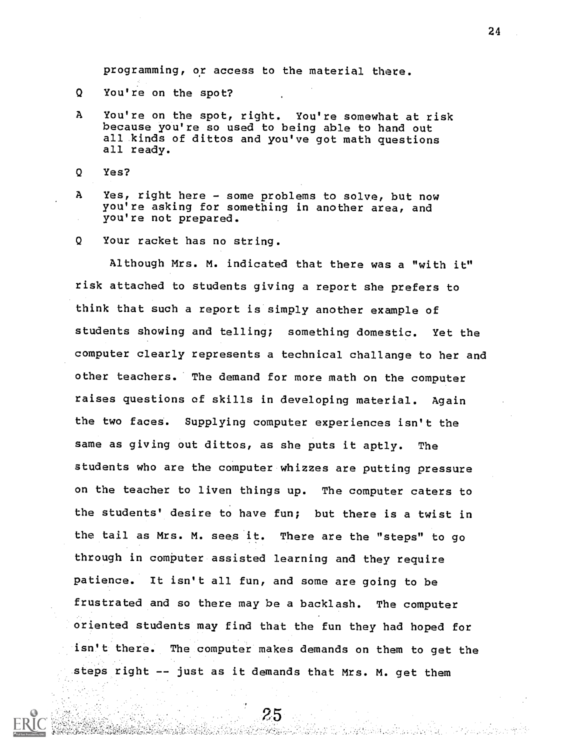programming, or access to the material there.

- Q You're on the spot?
- A You're on the spot, right. You're somewhat at risk because you're so used to being able to hand out all kinds of dittos and you've got math questions all ready.
- Q Yes?
- A Yes, right here some problems to solve, but now you're asking for something in another area, and you're not prepared.
- Q Your racket has no string.

Although Mrs. M. indicated that there was a "with it" risk attached to students giving a report she prefers to think that such a report is simply another example of students showing and telling; something domestic. Yet the computer clearly represents a technical challange to her and other teachers. The demand for more math on the computer raises questions of skills in developing material. Again the two faces. Supplying computer experiences isn't the same as giving out dittos, as she puts it aptly. The students who are the computer whizzes are putting pressure on the teacher to liven things up. The computer caters to the students' desire to have fun; but there is a twist in the tail as Mrs. M. sees it. There are the "steps" to go through in computer assisted learning and they require patience. It isn't all fun, and some are going to be frustrated amd so there may be a backlash. The computer oriented students may find that the fun they had hoped for isn't there. The computer makes demands on them to get the steps right -- just as it demands that Mrs. M. get them

25

e rasteka oratu eo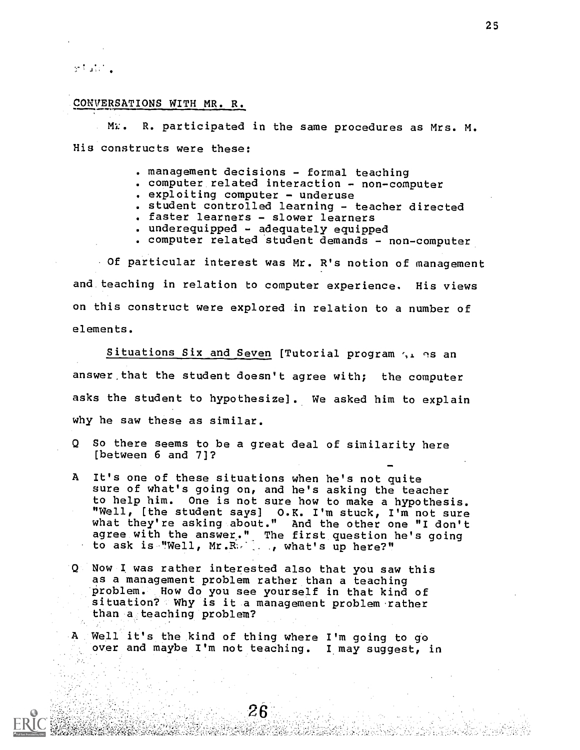ទៅ នៅពេទ្

#### CONVERSATIONS WITH MR. R.

MI:. R. participated in the same procedures as Mrs. M. His constructs were these:

- management decisions formal teaching
- computer related interaction non-computer
- . exploiting computer underuse
- student controlled learning teacher directed
- faster learners slower learners
- underequipped adequately equipped
- . computer related student demands non-computer

Of particular interest was Mr. R's notion of management and teaching in relation to computer experience. His views on this construct were explored in relation to a number of elements.

Situations Six and Seven [Tutorial program  $\gamma$ , as an answer that the student doesn't agree with; the computer asks the student to hypothesize] . We asked him to explain why he saw these as similar.

- Q So there seems to be a great deal of similarity here [between 6 and 7]?
- A It's one of these situations when he's not quite sure of what's going on, and he's asking the teacher to help him. One is not sure how to make a hypothesis. "Well, [the student says] O.K. I'm stuck, I'm not sure what they're asking about." And the other one "I don't agree with the answer." The first question he's going to ask is "Well, Mr.R- , what's up here?"
- Q Now I. was rather interested also that you saw this as a management problem rather than a teaching problem. How do you see yourself in that kind of situation? Why is it a management problem rather than a teaching problem?

A Well it's the kind of thing where I'm going to go over and maybe I'm not teaching. I may suggest, in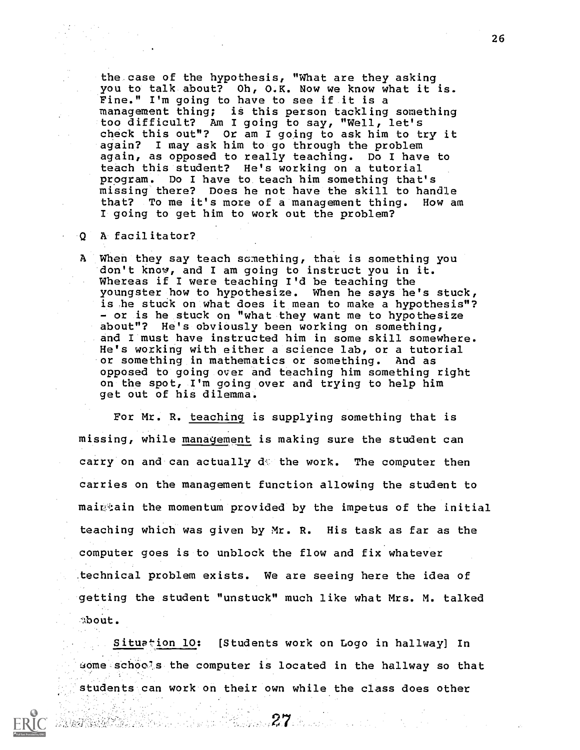the case of the hypothesis, "What are they asking you to talk about? Oh, O.K. Now we know what it is. Fine." I'm going to have to see if it is a management thing; is this person tackling something too difficult? Am I going to say, "Well, let's check this out"? Or am I going to ask him to try it again? I may ask him to go through the problem again, as opposed to really teaching. Do I have to teach this student? He's working on a tutorial program. Do I have to teach him something that's missing there? Does he not have the skill to handle that? To me it's more of a management thing. How am I going to get him to work out the problem?

#### A facilitator?  $\cdot$  0  $^{\circ}$

22. 法方法的原则

A When they say teach something, that is something you don't know, and I am going to instruct you in it. Whereas if I were teaching I'd be teaching the youngster how to hypothesize. When he says he's stuck, is he stuck on what does it mean to make a hypothesis"? - or is he stuck on "what they want me to hypothesize about"? He's obviously been working on something, and I must have instructed him in some skill somewhere. He's working with either a science lab, or a tutorial or something in mathematics or something. And as opposed to going over and teaching him something right on the spot, I'm going over and trying to help him get out of his dilemma.

For Mr. R. teaching is supplying something that is missing, while management is making sure the student can carry on and can actually  $d\mathcal{C}$  the work. The computer then carries on the management function allowing the student to mair,:ain the momentum provided by the impetus of the initial teaching which was given by Mr. R. His task as far as the computer goes is to unblock the flow and fix whatever .technical problem exists. We are seeing here the idea of getting the student "unstuck" much like what Mrs. M. talked 'About.

Situation 10: [Students work on Logo in hallway] In uome schools the computer is located in the hallway so that students can work on their own while the class does other

ka kacamatan ing kabupatèn Kabupatèn Kabupatèn Kabupatèn Ka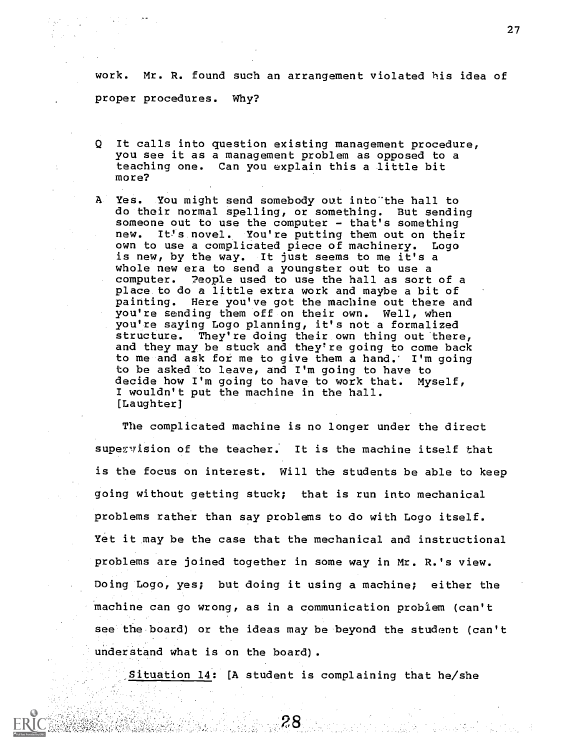work. Mr. R. found such an arrangement violated his idea of proper procedures. Why?

- It calls into question existing management procedure, Q you see it as a management problem as opposed to a teaching one. Can you explain this a little bit more?
- ${\bf A}$ Yes. You might send somebody out into the hall to do their normal spelling, or something. But sending someone out to use the computer - that's something new. It!s novel. You're putting them out on their own to use a complicated piece of machinery. Logo is new, by the way. It just seems to me it's a whole new era to send a youngster out to use a computer. ?eople used to use the hall as sort of a place to do a little extra work and maybe a bit of painting. Here you've got the machine out there and you're sending them off on their own. Well, when you're saying Logo planning, it's not a formalized structure. They're doing their own thing out there, and they may be stuck and they're going to come back to me and ask for me to give them a hand. I'm going to be asked to leave, and I'm going to have to decide how I'm going to have to work that. Myself, I wouldn't put the machine in the hall. [Laughter]

The complicated machine is no longer under the direct supervision of the teacher. It is the machine itself that is the focus on interest. Will the students be able to keep going without getting stuck; that is run into mechanical problems rather than say problems to do with Logo itself. Yet it may be the case that the mechanical and instructional problems are joined together in some way in Mr. R.'s view. Doing Logo, yes; but doing it using a machine; either the machine can go wrong, as in a communication problem (can't see the board) or the ideas may be beyond the student (can't understand what is on the board).

Situation 14: [A student is complaining that he/she

.8∦

19. 그 가족 사람들은 아이들이 아니다.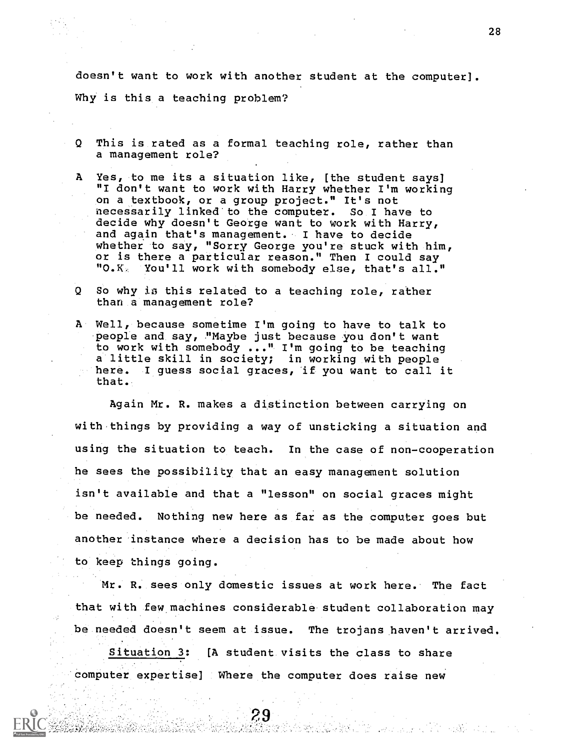doesn't want to work with another student at the computer]. Why is this a teaching problem?

- Q This is rated as a formal teaching role, rather than a management role?
- A Yes, to me its a situation like, [the student says] "I don't want to work with Harry whether I'm working on a textbook, or a group project." It's not necessarily linked to the computer. So I have to decide why doesn't George want to work with Harry, and again that's management. I have to decide whether to say, "Sorry George you're stuck with him, or is there a particular reason." Then I could say<br>"O.K. You'll work with somebody else. that's all.' You'll work with somebody else, that's all."
- $\mathbf{Q}$ So why is this related to a teaching role, rather than a management role?
- A Well, because sometime I'm going to have to talk to people and say, "Maybe just because you don't want to work with somebody ..." I'm going to be teaching a little skill in society; in working with people here. I guess social graces, if you want to call it that.

Again Mr. R. makes a distinction between carrying on with things by providing a way of unsticking a situation and using the situation to teach. In the case of non-cooperation he sees the possibility that an easy management solution isn't available and that a "lesson" on social graces might be needed. Nothing new here as far as the computer goes but another instance where a decision has to be made about how to keep things going.

Mr. R. sees only domestic issues at work here. The fact that with few machines considerable student collaboration may be needed doesn't seem at issue. The trojans haven't arrived. Situation 3: [A student visits the class to share computer expertise] Where the computer does raise new

29

그 앞 나와 그리고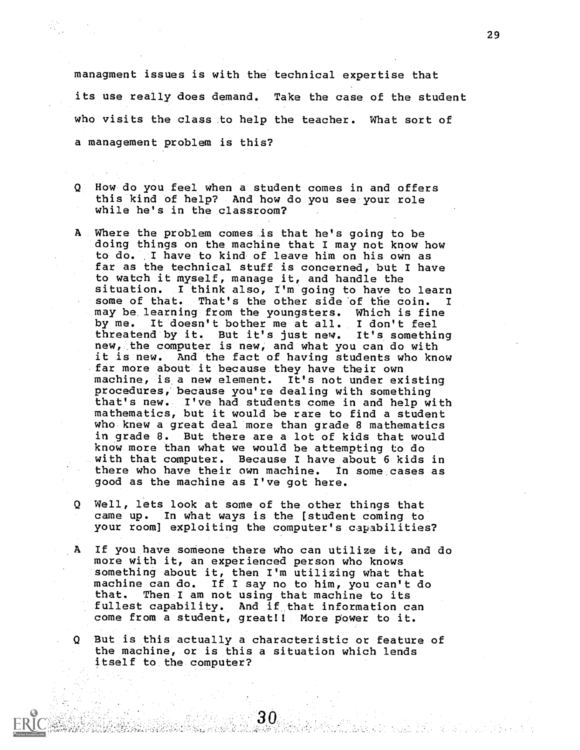managment issues is with the technical expertise that

its use really does demand. Take the case of the student who visits the class to help the teacher. What sort of a management problem is this?

- How do you feel when a student comes in and offers ହା this kind of help? And how do you see your role while he's in the classroom?
- A Where the problem comes is that he's going to be doing things on the machine that I may not know how to do. I have to kind of leave him on his own as far as the technical stuff is concerned, but I have to watch it myself, manage it, and handle the situation. I think also, I'm going to have to learn<br>some of that. That's the other side of the coin. I some of that. That's the other side of the coin. I<br>may be learning from the youngsters. Which is fine by me. It doesn't bother me at all. I don't feel threatend by it. But it's just new. It's something new, the computer is new, and what you can do with it is new. And the fact of having students who know far more about it because they have their own machine, is a new element. It's not under existing procedures, because you're dealing with something that's new. I've had students come in and help with mathematics, but it would be rare to find a student who knew a great deal more than grade 8 mathematics in grade 8. But there are a lot of kids that would know more than what we would be attempting to do with that computer. Because I have about 6 kids in there who have their own machine. In some cases as good as the machine as I've got here.
- Q Well, lets look at some of the other things that came up. In what ways is the [student coming to your room] exploiting the computer's capabilities?
- A If you have someone there who can utilize it, and do more with it, an experienced person who knows something about it, then I'm utilizing what that machine can do. If I say no to him, you can't do<br>that. Then I am not using that machine to its Then I am not using that machine to its fullest capability. And if that information can come from a student, great!! More power to it.

Q But is this actually a characteristic or feature of the machine, or is this a situation which lends itself to the computer?

30.

PARA ANDRA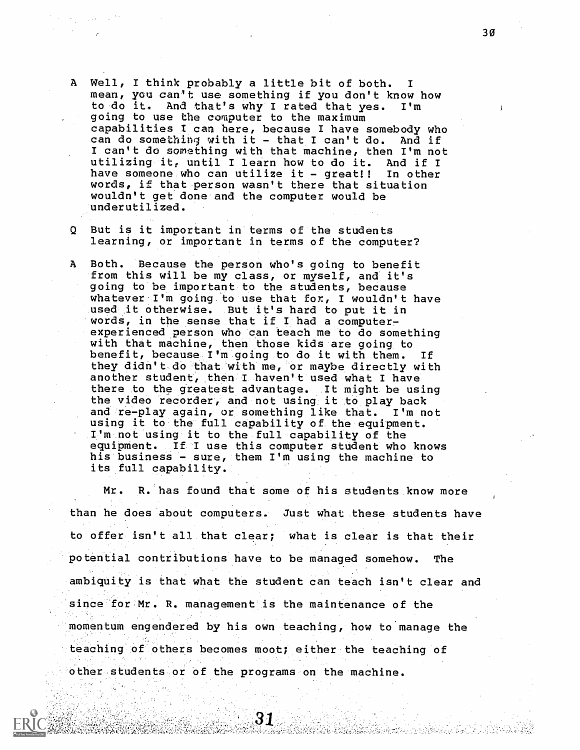- A Well, I think probably a little bit of both. mean, you can't use something if you don't know how to do it. And that's why I rated that yes. I'm going to use the computer to the maximum capabilities I can here, because I have somebody who<br>can do something with it - that I can't do. And if can do something with it - that I can't do. I can't do somsthing with that machine, then I'm not utilizing it, until I learn how to do it. And if I have someone who can utilize it - great!! In other words, if that person wasn't there that situation wouldn't get done and the computer would be underutilized.
- Q But is it important in terms of the students learning, or important in terms of the computer?
- A Both. Because the person who's going to benefit from this will be my class, or myself, and it's going to be important to the students, because whatever I'm going to use that for, I wouldn't have used it otherwise. But it's hard to put it in words, in the sense that if I had a computerexperienced person who can teach me to do something with that machine, then those kids are going to benefit, because I'm going to do it with them. If they didn't do that with me, or maybe directly with another student, then I haven't used what I have there to the greatest advantage. It might be using the video recorder, and not using it to play back and re-play again, or something like that. I'm not using it to the full capability of the equipment. I'm not using it to the full capability of the equipment. If I use this computer student who knows his business - sure, them I'm using the machine to its full capability.

Mr. R. has found that some of his students know more than he does about computers. Just what these students have to offer isn't all that clear; what is clear is that their potential contributions have to be managed somehow. The ambiguity is that what the student can teach isn't clear and since for Mr. R. management is the maintenance of the momentum engendered by his own teaching, how to manage the teaching of others becomes moot; either the teaching of other students or of the programs on the machine.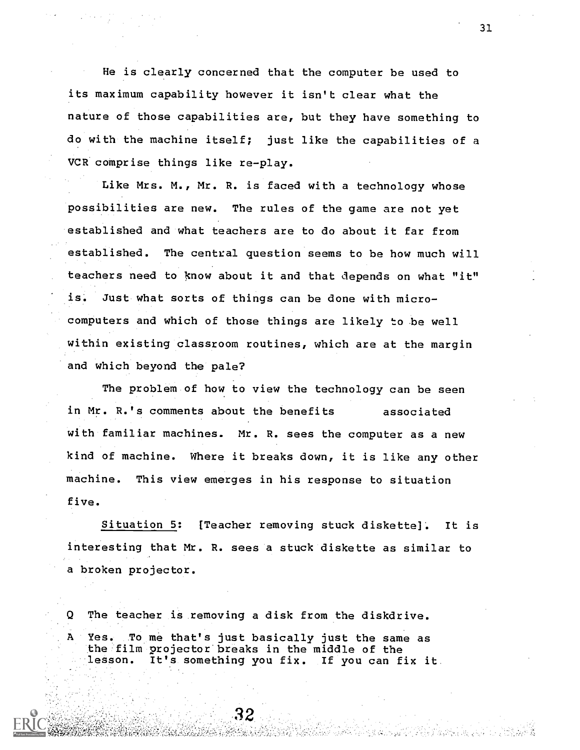He is clearly concerned that the computer be used to its maximum capability however it isn't clear what the nature of those capabilities are, but they have something to do with the machine itself; just like the capabilities of a VCR comprise things like re-play.

Like Mrs. M., Mr. R. is faced with a technology whose possibilities are new. The rules of the game are not yet established and what teachers are to do about it far from established. The central question seems to be how much will teachers need to %now about it and that depends on what "it" is. Just what sorts of things can be done with microcomputers and which of those things are likely to be well within existing classroom routines, which are at the margin and which beyond the pale?

The problem of how to view the technology can be seen in Mr. R.'s comments about the benefits associated with familiar machines. Mr. R. sees the computer as a new kind of machine. Where it breaks down, it is like any other machine. This view emerges in his response to situation five.

Situation 5: (Teacher removing stuck diskette]. It is interesting that Mr. R. sees a stuck diskette as similar to a broken projector.

Q The teacher is removing a disk from the diskdrive. A Yes. To me that's just basically just the same as the film projector breaks in the middle of the lesson. It's something you fix. If you can fix it

31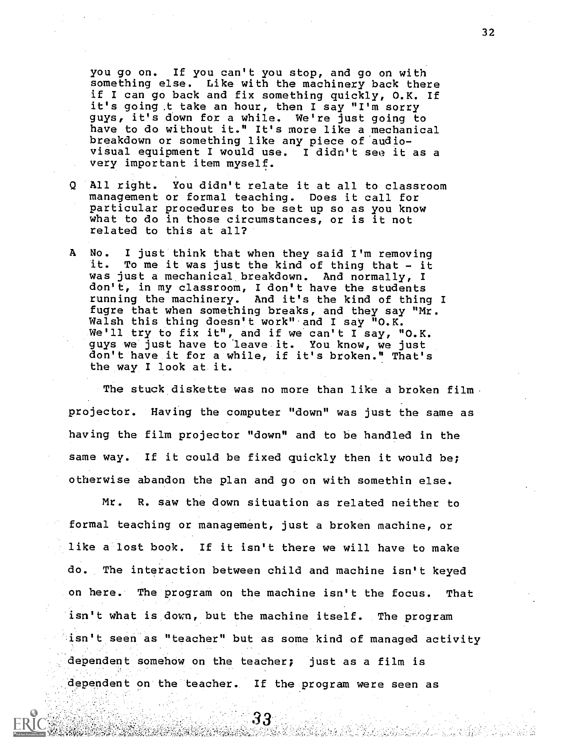you go on. If you can't you stop, and go on with smething else. Like with the machinery back there if I can go back and fix something quickly, O.K. If it's going.t take an hour, then I say "I'm sorry guys, it's down for a while. We're just going to have to do without it." It's more like a mechanical breakdown or something like any piece of audiovisual equipment I would use. I didn't see it as a very important item myself.

- Q All right. You didn't relate it at all to classroom management or formal teaching. Does it call for particular procedures to be set up so as you know what to do in those circumstances, or is it not related to this at all?
- A No. I just think that when they said I'm removing<br>it. To me it was just the kind of thing that it To me it was just the kind of thing that - it was just a mechanical breakdown. And normally, I don't, in my classroom, I don't have the students running the machinery. And it's the kind of thing I fugre that when something breaks, and they say "Mr. Walsh this thing doesn't work" and I say "O.K. We'll try to fix it", and if we can't I say, "O.K. guys we just have to'leave it. You know, we just don't have it for a while, if it's broken." That's the way I look at it.

The stuck diskette was no more than like a broken film projector. Having the computer "down" was just the same as having the film projector "down" and to be handled in the same way. If it could be fixed quickly then it would be; otherwise abandon the plan and go on with somethin else.

Mr. R. saw the down situation as related neither to formal teaching or management, just a broken machine, or like a lost book. If it isn't there we will have to make do. The interaction between child and machine isn't keyed on here. The program on the machine isn't the focus. That isn't what is down, but the machine itself. The program isn't seen as "teacher" but as some kind of managed activity dependent somehow on the teacher; just as a film is dependent on the teacher. If the program were seen as

33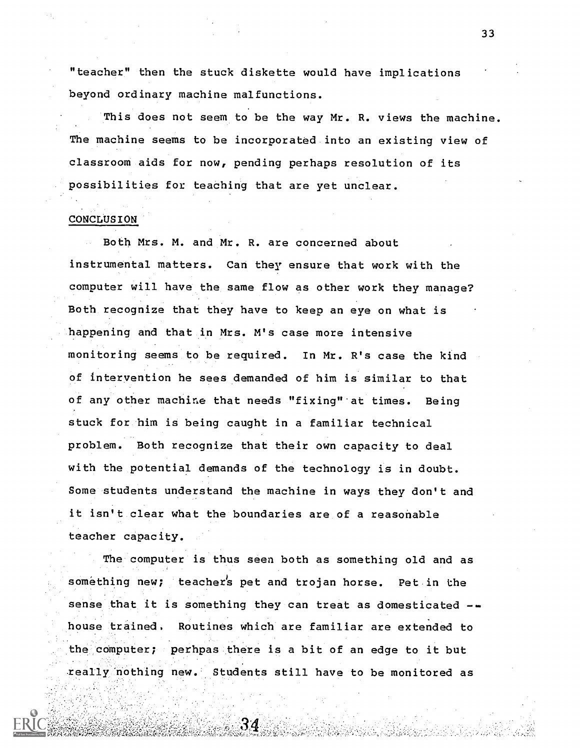"teacher" then the stuck diskette would have implications beyond ordinary machine malfunctions.

This does not seem to be the way Mr. R. views the machine. The machine seems to be incorporated into an existing view of classroom aids for now, pending perhaps resolution of its possibilities for teaching that are yet unclear.

## CONCLUSION

Both Mrs. M. and Mr. R. are concerned about instrumental matters. Can they ensure that work with the computer will have the same flow as other work they manage? Both recognize that they have to keep an eye on what is happening and that in Mrs. M's case more intensive monitoring seems to be required. In Mr. R's case the kind of intervention he sees demanded of him is similar to that of any other machine that needs "fixing" at times. Being stuck for him is being caught in a familiar technical problem. Both recognize that their own capacity to deal with the potential demands of the technology is in doubt. Some students understand the machine in ways they don't and it isn't clear what the boundaries are of a reasonable teacher capacity.

The computer is thus seen both as something old and as something new; teacher's pet and trojan horse. Pet in the sense that it is something they can treat as domesticated -house trained. Routines which are familiar are extended to the computer; perhpas there is a bit of an edge to it but really nothing new. Students still have to be monitored as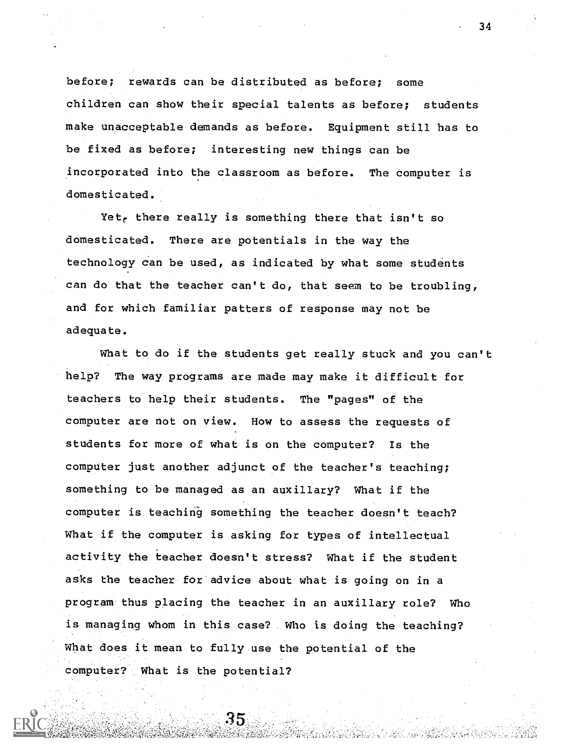before; rewards can be distributed as before; some children can show their special talents as before; students make unacceptable demands as before. Equipment still has to be fixed as before; interesting new things can be incorporated into the classroom as before. The computer is domesticated.

Yet, there really is something there that isn't so domesticated. There are potentials in the way the technology can be used, as indicated by what some students can do that the teacher can't do, that seem to be troubling, and for which familiar patters of response may not be adequate.

What to do if the students get really stuck and you can't help? The way programs are made may make it difficult for teachers to help their students. The "pages" of the computer are not on view. How to assess the requests of students for more of what is on the computer? Is the computer just another adjunct of the teacher's teaching; something to be managed as an auxillary? What if the computer is teaching something the teacher doesn't teach? What if the computer is asking for types of intellectual activity the teacher doesn't stress? What if the student asks the teacher for advice about what is going on in a program thus placing the teacher in an auxillary role? Who is managing whom in this case? Who is doing the teaching? What does it mean to fully use the potential of the computer? What is the potential?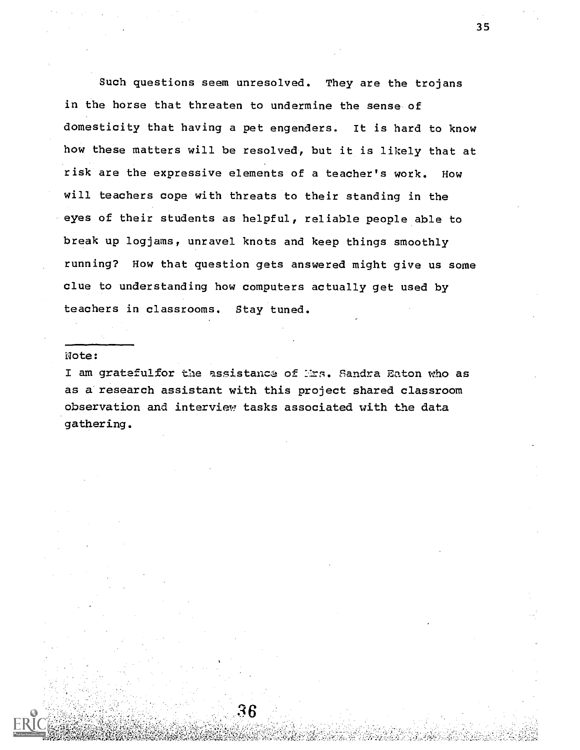Such questions seem unresolved. They are the trojans in the horse that threaten to undermine the sense of domesticity that having a pet engenders. It is hard to know how these matters will be resolved, but it is likely that at risk are the expressive elements of a teacher's work. How will teachers cope with threats to their standing in the eyes of their students as helpful, reliable people able to break up logjams, unravel knots and keep things smoothly running? How that question gets answered might give us some clue to understanding how computers actually get used by teachers in classrooms. Stay tuned.

### Wote:

I am gratefulfor the assistance of Mrs. Sandra Eaton who as as a research assistant with this project shared classroom observation and interview tasks associated with the data gathering.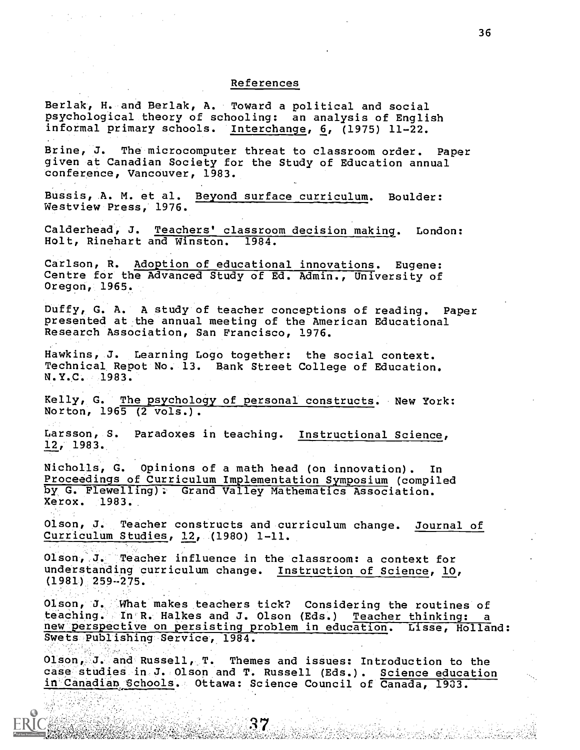#### References

Berlak, H. and Berlak, A. Toward a political and social psychological theory of schooling: an analysis of English informal primary schools. Interchange, 6, (1975) 11-22. Brine, J. The microcomputer threat to classroom order. Paper given at Canadian Society for the Study of Education annual conference, Vancouver, 1983. Bussis, A. M. et al. Beyond surface curriculum. Boulder: Westview Press, 1976. Calderhead, J. Teachers' classroom decision making. London:<br>Holt, Rinehart and Winston. 1984. Holt, Rinehart and Winston. Carlson, R. Adoption of educational innovations. Eugene: Centre for the Advanced Study of Ed. Admin., University of Oregon, 1965. Duffy, G. A. A study of teacher conceptions of reading. Paper presented at the annual meeting of the American Educational Research Association, San Francisco, 1976. Hawkins, J. Learning Logo together: the social context. Technical Repot No. 13. Bank Street College of Education. N.Y.C. 1983. Kelly, G. The psychology of personal constructs. New York: Norton, 1965 (2 vols.). Larsson, S. Paradoxes in teaching. Instructional Science, 12, 1983. Nicholls, G. Opinions of a math head (on innovation) . In Proceedings of Curriculum Implementation Symposium (compiled by G. Flewelling); Grand Valley Mathematics Association. Xerox. 1983. Olson, J. Teacher constructs and curriculum change. Journal of Curriculum Studies, 12, (1980) 1-11. Olson, J. Teacher influence in the classroom: a context for understanding curriculum change. Instruction of Science, 10, (1981) 259-275. Olson, J. What makes teachers tick? Considering the routines of<br>teaching. In R. Halkes and J. Olson (Eds.) Teacher thinking: a new perspective on persisting problem in education. Lisse, Holland: Swets Publishing Service, 1984. Olson, J. and Russell, T. Themes and issues: Introduction to the case studies in J. Olson and T. Russell (Eds.). Science education in Canadian Schools. Ottawa: Science Council of Canada, 1903.